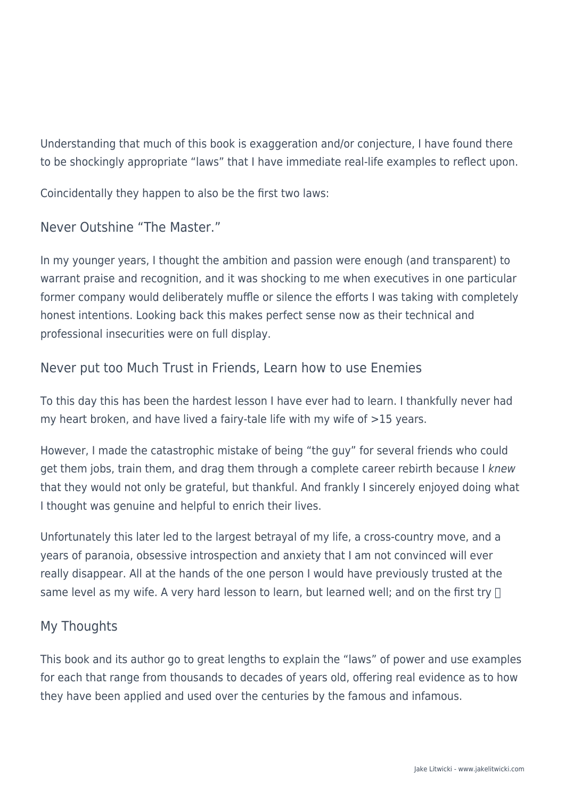Understanding that much of this book is exaggeration and/or conjecture, I have found there to be shockingly appropriate "laws" that I have immediate real-life examples to reflect upon.

Coincidentally they happen to also be the first two laws:

Never Outshine "The Master."

In my younger years, I thought the ambition and passion were enough (and transparent) to warrant praise and recognition, and it was shocking to me when executives in one particular former company would deliberately muffle or silence the efforts I was taking with completely honest intentions. Looking back this makes perfect sense now as their technical and professional insecurities were on full display.

## Never put too Much Trust in Friends, Learn how to use Enemies

To this day this has been the hardest lesson I have ever had to learn. I thankfully never had my heart broken, and have lived a fairy-tale life with my wife of >15 years.

However, I made the catastrophic mistake of being "the guy" for several friends who could get them jobs, train them, and drag them through a complete career rebirth because I knew that they would not only be grateful, but thankful. And frankly I sincerely enjoyed doing what I thought was genuine and helpful to enrich their lives.

Unfortunately this later led to the largest betrayal of my life, a cross-country move, and a years of paranoia, obsessive introspection and anxiety that I am not convinced will ever really disappear. All at the hands of the one person I would have previously trusted at the same level as my wife. A very hard lesson to learn, but learned well; and on the first try  $\Box$ 

## My Thoughts

This book and its author go to great lengths to explain the "laws" of power and use examples for each that range from thousands to decades of years old, offering real evidence as to how they have been applied and used over the centuries by the famous and infamous.